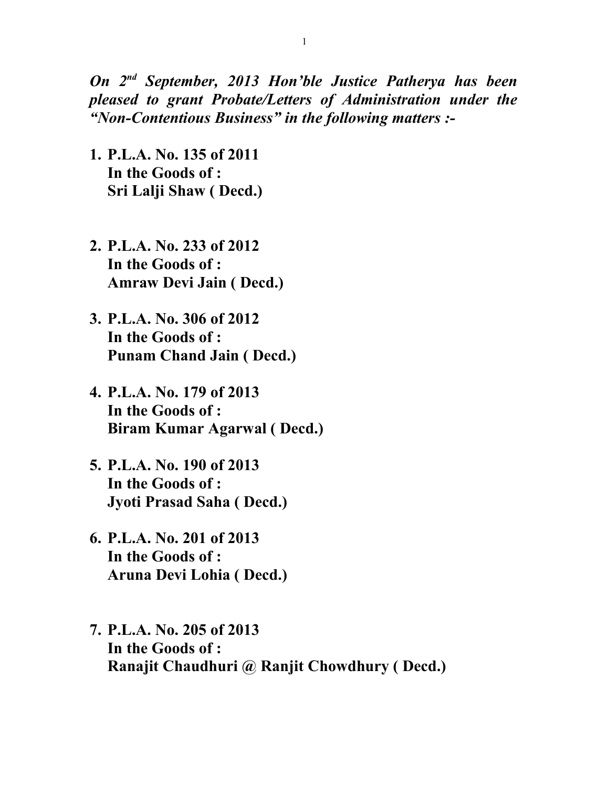*On 2nd September, 2013 Hon'ble Justice Patherya has been pleased to grant Probate/Letters of Administration under the "Non-Contentious Business" in the following matters :-*

- **1. P.L.A. No. 135 of 2011 In the Goods of : Sri Lalji Shaw ( Decd.)**
- **2. P.L.A. No. 233 of 2012 In the Goods of : Amraw Devi Jain ( Decd.)**
- **3. P.L.A. No. 306 of 2012 In the Goods of : Punam Chand Jain ( Decd.)**
- **4. P.L.A. No. 179 of 2013 In the Goods of : Biram Kumar Agarwal ( Decd.)**
- **5. P.L.A. No. 190 of 2013 In the Goods of : Jyoti Prasad Saha ( Decd.)**
- **6. P.L.A. No. 201 of 2013 In the Goods of : Aruna Devi Lohia ( Decd.)**
- **7. P.L.A. No. 205 of 2013 In the Goods of : Ranajit Chaudhuri @ Ranjit Chowdhury ( Decd.)**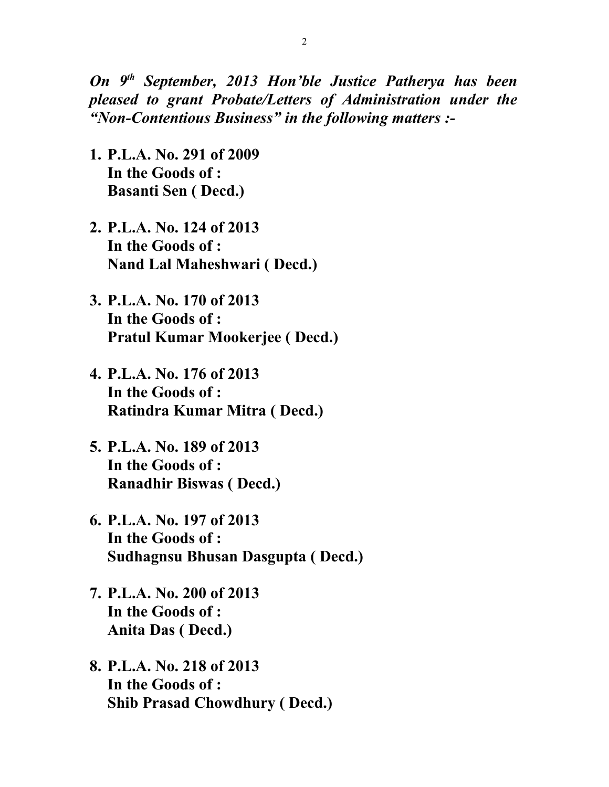*On 9th September, 2013 Hon'ble Justice Patherya has been pleased to grant Probate/Letters of Administration under the "Non-Contentious Business" in the following matters :-*

- **1. P.L.A. No. 291 of 2009 In the Goods of : Basanti Sen ( Decd.)**
- **2. P.L.A. No. 124 of 2013 In the Goods of : Nand Lal Maheshwari ( Decd.)**
- **3. P.L.A. No. 170 of 2013 In the Goods of : Pratul Kumar Mookerjee ( Decd.)**
- **4. P.L.A. No. 176 of 2013 In the Goods of : Ratindra Kumar Mitra ( Decd.)**
- **5. P.L.A. No. 189 of 2013 In the Goods of : Ranadhir Biswas ( Decd.)**
- **6. P.L.A. No. 197 of 2013 In the Goods of : Sudhagnsu Bhusan Dasgupta ( Decd.)**
- **7. P.L.A. No. 200 of 2013 In the Goods of : Anita Das ( Decd.)**
- **8. P.L.A. No. 218 of 2013 In the Goods of : Shib Prasad Chowdhury ( Decd.)**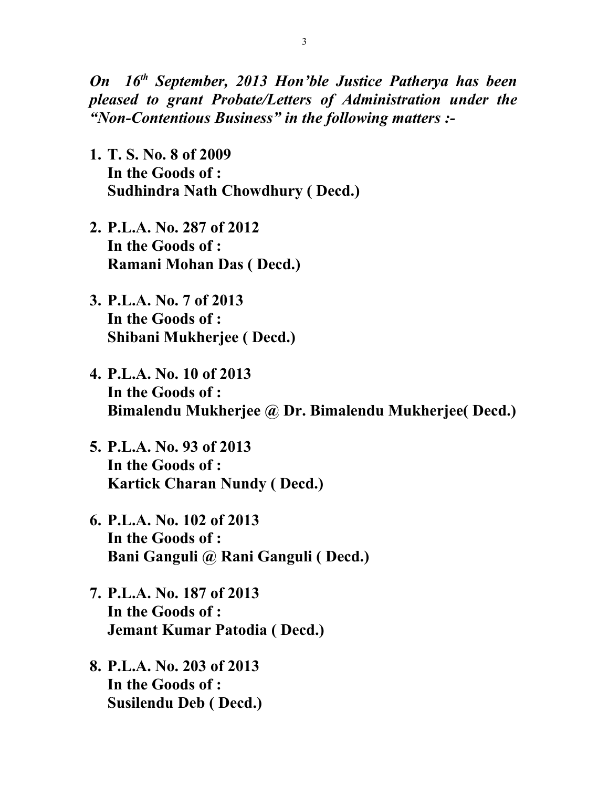*On 16th September, 2013 Hon'ble Justice Patherya has been pleased to grant Probate/Letters of Administration under the "Non-Contentious Business" in the following matters :-*

- **1. T. S. No. 8 of 2009 In the Goods of : Sudhindra Nath Chowdhury ( Decd.)**
- **2. P.L.A. No. 287 of 2012 In the Goods of : Ramani Mohan Das ( Decd.)**
- **3. P.L.A. No. 7 of 2013 In the Goods of : Shibani Mukherjee ( Decd.)**
- **4. P.L.A. No. 10 of 2013 In the Goods of : Bimalendu Mukherjee @ Dr. Bimalendu Mukherjee( Decd.)**
- **5. P.L.A. No. 93 of 2013 In the Goods of : Kartick Charan Nundy ( Decd.)**
- **6. P.L.A. No. 102 of 2013 In the Goods of : Bani Ganguli @ Rani Ganguli ( Decd.)**
- **7. P.L.A. No. 187 of 2013 In the Goods of : Jemant Kumar Patodia ( Decd.)**
- **8. P.L.A. No. 203 of 2013 In the Goods of : Susilendu Deb ( Decd.)**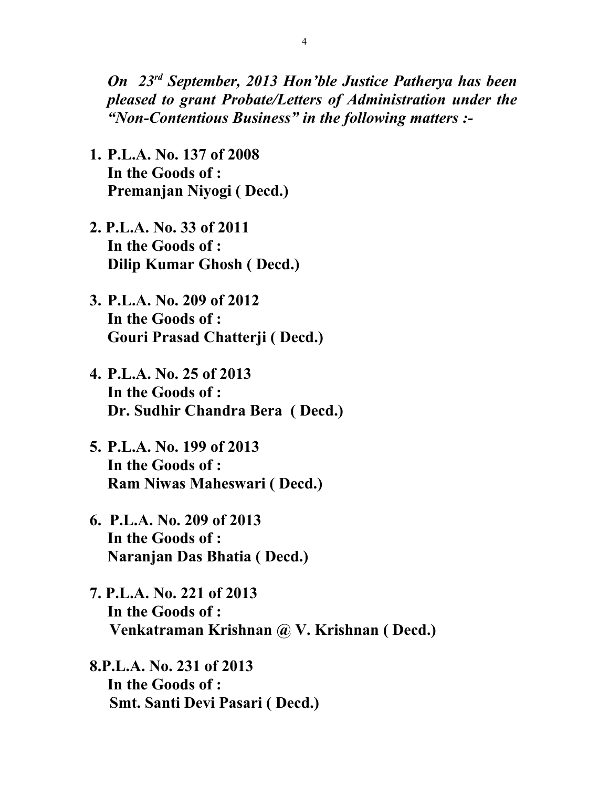*On 23rd September, 2013 Hon'ble Justice Patherya has been pleased to grant Probate/Letters of Administration under the "Non-Contentious Business" in the following matters :-*

- **1. P.L.A. No. 137 of 2008 In the Goods of : Premanjan Niyogi ( Decd.)**
- **2. P.L.A. No. 33 of 2011 In the Goods of : Dilip Kumar Ghosh ( Decd.)**
- **3. P.L.A. No. 209 of 2012 In the Goods of : Gouri Prasad Chatterji ( Decd.)**
- **4. P.L.A. No. 25 of 2013 In the Goods of : Dr. Sudhir Chandra Bera ( Decd.)**
- **5. P.L.A. No. 199 of 2013 In the Goods of : Ram Niwas Maheswari ( Decd.)**
- **6. P.L.A. No. 209 of 2013 In the Goods of : Naranjan Das Bhatia ( Decd.)**
- **7. P.L.A. No. 221 of 2013 In the Goods of : Venkatraman Krishnan @ V. Krishnan ( Decd.)**
- **8.P.L.A. No. 231 of 2013 In the Goods of : Smt. Santi Devi Pasari ( Decd.)**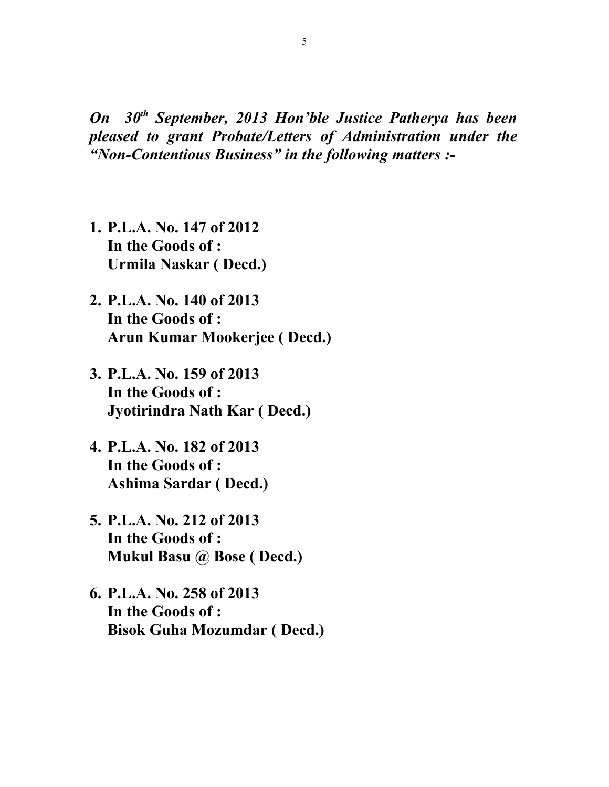*On 30th September, 2013 Hon'ble Justice Patherya has been pleased to grant Probate/Letters of Administration under the "Non-Contentious Business" in the following matters :-*

- **1. P.L.A. No. 147 of 2012 In the Goods of : Urmila Naskar ( Decd.)**
- **2. P.L.A. No. 140 of 2013 In the Goods of : Arun Kumar Mookerjee ( Decd.)**
- **3. P.L.A. No. 159 of 2013 In the Goods of : Jyotirindra Nath Kar ( Decd.)**
- **4. P.L.A. No. 182 of 2013 In the Goods of : Ashima Sardar ( Decd.)**
- **5. P.L.A. No. 212 of 2013 In the Goods of : Mukul Basu @ Bose ( Decd.)**
- **6. P.L.A. No. 258 of 2013 In the Goods of : Bisok Guha Mozumdar ( Decd.)**